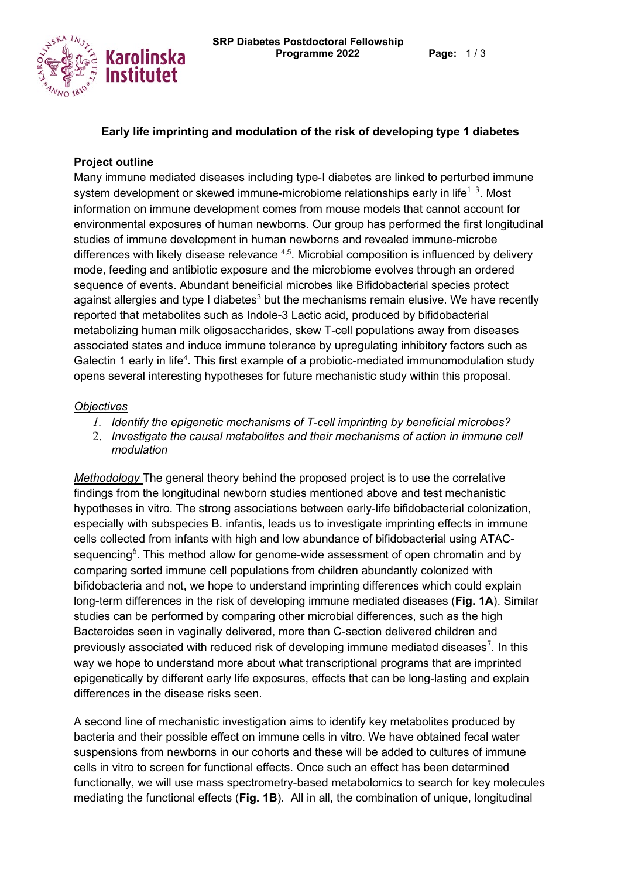

## **Early life imprinting and modulation of the risk of developing type 1 diabetes**

## **Project outline**

Many immune mediated diseases including type-I diabetes are linked to perturbed immune system development or skewed immune-microbiome relationships early in life $^{\rm l-3}.$  Most information on immune development comes from mouse models that cannot account for environmental exposures of human newborns. Our group has performed the first longitudinal studies of immune development in human newborns and revealed immune-microbe differences with likely disease relevance  $4.5$ . Microbial composition is influenced by delivery mode, feeding and antibiotic exposure and the microbiome evolves through an ordered sequence of events. Abundant beneificial microbes like Bifidobacterial species protect against allergies and type I diabetes<sup>3</sup> but the mechanisms remain elusive. We have recently reported that metabolites such as Indole-3 Lactic acid, produced by bifidobacterial metabolizing human milk oligosaccharides, skew T-cell populations away from diseases associated states and induce immune tolerance by upregulating inhibitory factors such as Galectin 1 early in life<sup>4</sup>. This first example of a probiotic-mediated immunomodulation study opens several interesting hypotheses for future mechanistic study within this proposal.

## *Objectives*

- *1. Identify the epigenetic mechanisms of T-cell imprinting by beneficial microbes?*
- 2. *Investigate the causal metabolites and their mechanisms of action in immune cell modulation*

*Methodology* The general theory behind the proposed project is to use the correlative findings from the longitudinal newborn studies mentioned above and test mechanistic hypotheses in vitro. The strong associations between early-life bifidobacterial colonization, especially with subspecies B. infantis, leads us to investigate imprinting effects in immune cells collected from infants with high and low abundance of bifidobacterial using ATACsequencing $\rm^6$ . This method allow for genome-wide assessment of open chromatin and by comparing sorted immune cell populations from children abundantly colonized with bifidobacteria and not, we hope to understand imprinting differences which could explain long-term differences in the risk of developing immune mediated diseases (**Fig. 1A**). Similar studies can be performed by comparing other microbial differences, such as the high Bacteroides seen in vaginally delivered, more than C-section delivered children and previously associated with reduced risk of developing immune mediated diseases $^7$ . In this way we hope to understand more about what transcriptional programs that are imprinted epigenetically by different early life exposures, effects that can be long-lasting and explain differences in the disease risks seen.

A second line of mechanistic investigation aims to identify key metabolites produced by bacteria and their possible effect on immune cells in vitro. We have obtained fecal water suspensions from newborns in our cohorts and these will be added to cultures of immune cells in vitro to screen for functional effects. Once such an effect has been determined functionally, we will use mass spectrometry-based metabolomics to search for key molecules mediating the functional effects (**Fig. 1B**). All in all, the combination of unique, longitudinal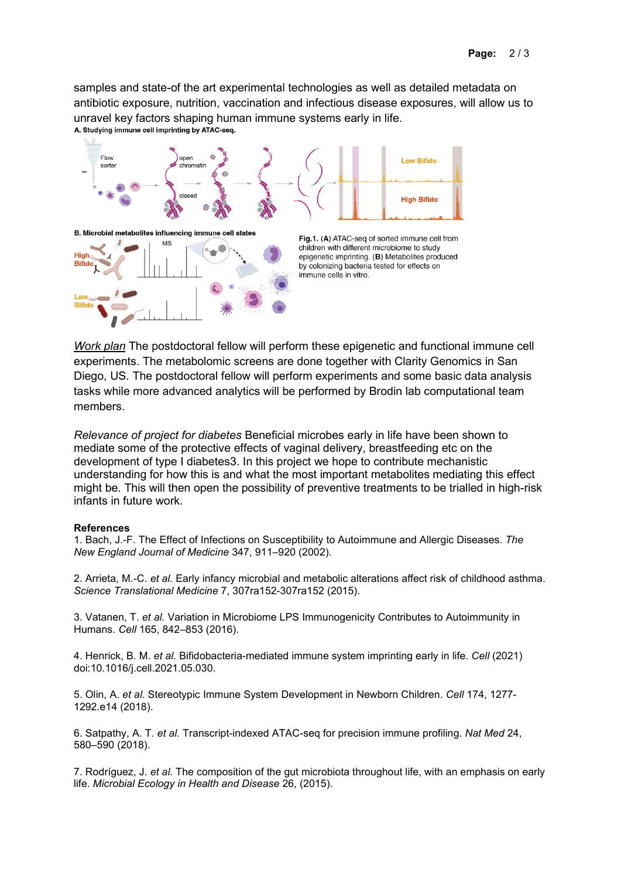samples and state-of the art experimental technologies as well as detailed metadata on antibiotic exposure, nutrition, vaccination and infectious disease exposures, will allow us to Unravel key factors shaping human immune systems early in life.<br>A. Studying immune cell imprinting by ATAC-seq.



*Work plan* The postdoctoral fellow will perform these epigenetic and functional immune cell experiments. The metabolomic screens are done together with Clarity Genomics in San Diego, US. The postdoctoral fellow will perform experiments and some basic data analysis tasks while more advanced analytics will be performed by Brodin lab computational team members.

*Relevance of project for diabetes* Beneficial microbes early in life have been shown to mediate some of the protective effects of vaginal delivery, breastfeeding etc on the development of type I diabetes3. In this project we hope to contribute mechanistic understanding for how this is and what the most important metabolites mediating this effect might be. This will then open the possibility of preventive treatments to be trialled in high-risk infants in future work.

## **References**

1. Bach, J.-F. The Effect of Infections on Susceptibility to Autoimmune and Allergic Diseases. *The New England Journal of Medicine* 347, 911–920 (2002).

2. Arrieta, M.-C. *et al.* Early infancy microbial and metabolic alterations affect risk of childhood asthma. *Science Translational Medicine* 7, 307ra152-307ra152 (2015).

3. Vatanen, T. *et al.* Variation in Microbiome LPS Immunogenicity Contributes to Autoimmunity in Humans. *Cell* 165, 842–853 (2016).

4. Henrick, B. M. *et al.* Bifidobacteria-mediated immune system imprinting early in life. *Cell* (2021) doi:10.1016/j.cell.2021.05.030.

5. Olin, A. *et al.* Stereotypic Immune System Development in Newborn Children. *Cell* 174, 1277- 1292.e14 (2018).

6. Satpathy, A. T. *et al.* Transcript-indexed ATAC-seq for precision immune profiling. *Nat Med* 24, 580–590 (2018).

7. Rodríguez, J. *et al.* The composition of the gut microbiota throughout life, with an emphasis on early life. *Microbial Ecology in Health and Disease* 26, (2015).